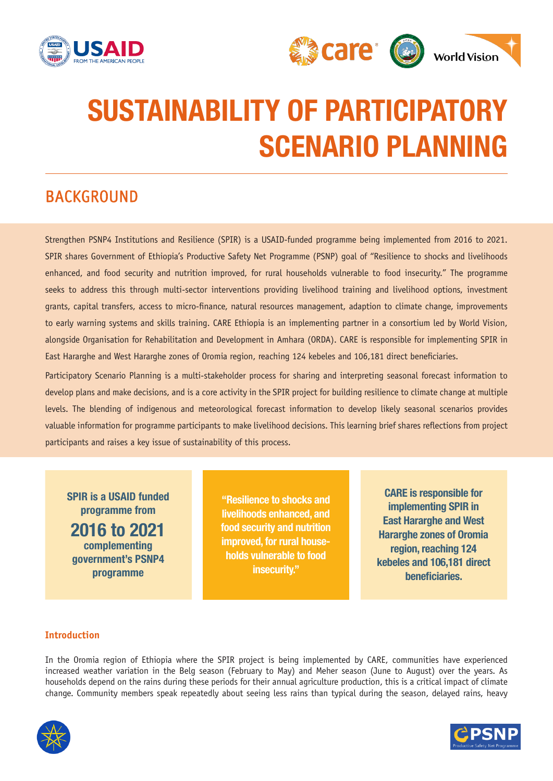



# SUSTAINABILITY OF PARTICIPATORY SCENARIO PLANNING

# BACKGROUND

Strengthen PSNP4 Institutions and Resilience (SPIR) is a USAID-funded programme being implemented from 2016 to 2021. SPIR shares Government of Ethiopia's Productive Safety Net Programme (PSNP) goal of "Resilience to shocks and livelihoods enhanced, and food security and nutrition improved, for rural households vulnerable to food insecurity." The programme seeks to address this through multi-sector interventions providing livelihood training and livelihood options, investment grants, capital transfers, access to micro-finance, natural resources management, adaption to climate change, improvements to early warning systems and skills training. CARE Ethiopia is an implementing partner in a consortium led by World Vision, alongside Organisation for Rehabilitation and Development in Amhara (ORDA). CARE is responsible for implementing SPIR in East Hararghe and West Hararghe zones of Oromia region, reaching 124 kebeles and 106,181 direct beneficiaries.

Participatory Scenario Planning is a multi-stakeholder process for sharing and interpreting seasonal forecast information to develop plans and make decisions, and is a core activity in the SPIR project for building resilience to climate change at multiple levels. The blending of indigenous and meteorological forecast information to develop likely seasonal scenarios provides valuable information for programme participants to make livelihood decisions. This learning brief shares reflections from project participants and raises a key issue of sustainability of this process.

SPIR is a USAID funded programme from 2016 to 2021 complementing government's PSNP4 programme

"Resilience to shocks and livelihoods enhanced, and food security and nutrition improved, for rural households vulnerable to food insecurity."

CARE is responsible for implementing SPIR in East Hararghe and West Hararghe zones of Oromia region, reaching 124 kebeles and 106,181 direct beneficiaries.

### **Introduction**

In the Oromia region of Ethiopia where the SPIR project is being implemented by CARE, communities have experienced increased weather variation in the Belg season (February to May) and Meher season (June to August) over the years. As households depend on the rains during these periods for their annual agriculture production, this is a critical impact of climate change. Community members speak repeatedly about seeing less rains than typical during the season, delayed rains, heavy



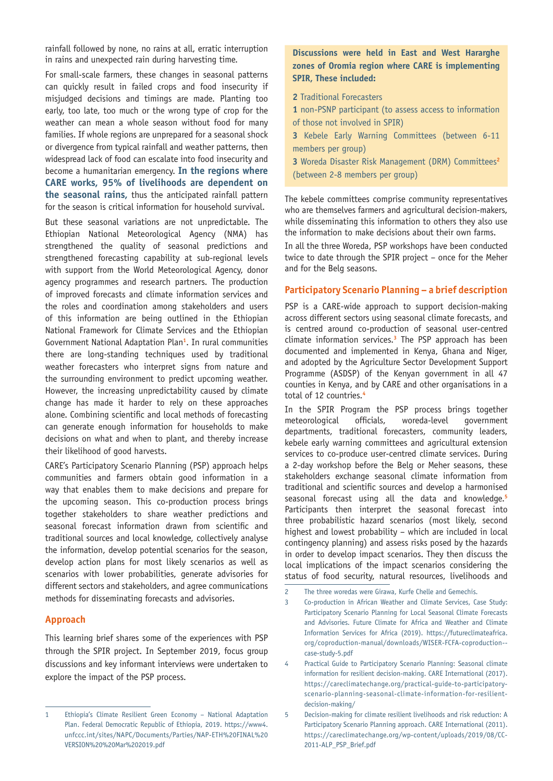rainfall followed by none, no rains at all, erratic interruption in rains and unexpected rain during harvesting time.

For small-scale farmers, these changes in seasonal patterns can quickly result in failed crops and food insecurity if misjudged decisions and timings are made. Planting too early, too late, too much or the wrong type of crop for the weather can mean a whole season without food for many families. If whole regions are unprepared for a seasonal shock or divergence from typical rainfall and weather patterns, then widespread lack of food can escalate into food insecurity and become a humanitarian emergency. **In the regions where CARE works, 95% of livelihoods are dependent on the seasonal rains,** thus the anticipated rainfall pattern for the season is critical information for household survival.

But these seasonal variations are not unpredictable. The Ethiopian National Meteorological Agency (NMA) has strengthened the quality of seasonal predictions and strengthened forecasting capability at sub-regional levels with support from the World Meteorological Agency, donor agency programmes and research partners. The production of improved forecasts and climate information services and the roles and coordination among stakeholders and users of this information are being outlined in the Ethiopian National Framework for Climate Services and the Ethiopian Government National Adaptation Plan**<sup>1</sup>** . In rural communities there are long-standing techniques used by traditional weather forecasters who interpret signs from nature and the surrounding environment to predict upcoming weather. However, the increasing unpredictability caused by climate change has made it harder to rely on these approaches alone. Combining scientific and local methods of forecasting can generate enough information for households to make decisions on what and when to plant, and thereby increase their likelihood of good harvests.

CARE's Participatory Scenario Planning (PSP) approach helps communities and farmers obtain good information in a way that enables them to make decisions and prepare for the upcoming season. This co-production process brings together stakeholders to share weather predictions and seasonal forecast information drawn from scientific and traditional sources and local knowledge, collectively analyse the information, develop potential scenarios for the season, develop action plans for most likely scenarios as well as scenarios with lower probabilities, generate advisories for different sectors and stakeholders, and agree communications methods for disseminating forecasts and advisories.

#### **Approach**

This learning brief shares some of the experiences with PSP through the SPIR project. In September 2019, focus group discussions and key informant interviews were undertaken to explore the impact of the PSP process.

**Discussions were held in East and West Hararghe zones of Oromia region where CARE is implementing SPIR, These included:**

- **2** Traditional Forecasters
- **1** non-PSNP participant (to assess access to information of those not involved in SPIR)
- **3** Kebele Early Warning Committees (between 6-11 members per group)
- **3** Woreda Disaster Risk Management (DRM) Committees**<sup>2</sup>** (between 2-8 members per group)

The kebele committees comprise community representatives who are themselves farmers and agricultural decision-makers, while disseminating this information to others they also use the information to make decisions about their own farms.

In all the three Woreda, PSP workshops have been conducted twice to date through the SPIR project – once for the Meher and for the Belg seasons.

#### **Participatory Scenario Planning – a brief description**

PSP is a CARE-wide approach to support decision-making across different sectors using seasonal climate forecasts, and is centred around co-production of seasonal user-centred climate information services.**<sup>3</sup>** The PSP approach has been documented and implemented in Kenya, Ghana and Niger, and adopted by the Agriculture Sector Development Support Programme (ASDSP) of the Kenyan government in all 47 counties in Kenya, and by CARE and other organisations in a total of 12 countries.**<sup>4</sup>**

In the SPIR Program the PSP process brings together meteorological officials, woreda-level government departments, traditional forecasters, community leaders, kebele early warning committees and agricultural extension services to co-produce user-centred climate services. During a 2-day workshop before the Belg or Meher seasons, these stakeholders exchange seasonal climate information from traditional and scientific sources and develop a harmonised seasonal forecast using all the data and knowledge.**<sup>5</sup>** Participants then interpret the seasonal forecast into three probabilistic hazard scenarios (most likely, second highest and lowest probability – which are included in local contingency planning) and assess risks posed by the hazards in order to develop impact scenarios. They then discuss the local implications of the impact scenarios considering the status of food security, natural resources, livelihoods and

- 2 The three woredas were Girawa, Kurfe Chelle and Gemechis.
- 3 Co-production in African Weather and Climate Services, Case Study: Participatory Scenario Planning for Local Seasonal Climate Forecasts and Advisories. Future Climate for Africa and Weather and Climate Information Services for Africa (2019). https://futureclimateafrica. org/coproduction-manual/downloads/WISER-FCFA-coproduction- case-study-5.pdf
- 4 Practical Guide to Participatory Scenario Planning: Seasonal climate information for resilient decision-making. CARE International (2017). https://careclimatechange.org/practical-guide-to-participatoryscenario-planning-seasonal-climate-information-for-resilientdecision-making/
- 5 Decision-making for climate resilient livelihoods and risk reduction: A Participatory Scenario Planning approach. CARE International (2011). https://careclimatechange.org/wp-content/uploads/2019/08/CC-2011-ALP\_PSP\_Brief.pdf

<sup>1</sup> Ethiopia's Climate Resilient Green Economy – National Adaptation Plan. Federal Democratic Republic of Ethiopia, 2019. https://www4. unfccc.int/sites/NAPC/Documents/Parties/NAP-ETH%20FINAL%20 VERSION%20%20Mar%202019.pdf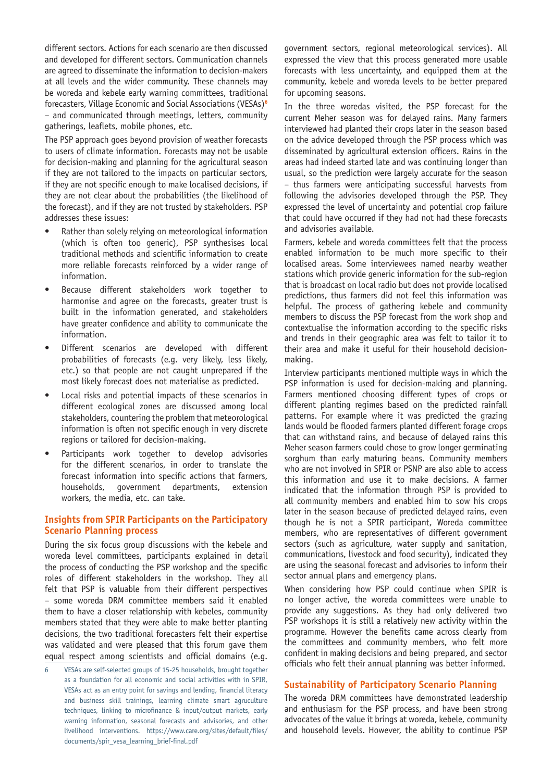different sectors. Actions for each scenario are then discussed and developed for different sectors. Communication channels are agreed to disseminate the information to decision-makers at all levels and the wider community. These channels may be woreda and kebele early warning committees, traditional forecasters, Village Economic and Social Associations (VESAs)**<sup>6</sup>** – and communicated through meetings, letters, community gatherings, leaflets, mobile phones, etc.

The PSP approach goes beyond provision of weather forecasts to users of climate information. Forecasts may not be usable for decision-making and planning for the agricultural season if they are not tailored to the impacts on particular sectors, if they are not specific enough to make localised decisions, if they are not clear about the probabilities (the likelihood of the forecast), and if they are not trusted by stakeholders. PSP addresses these issues:

- Rather than solely relying on meteorological information (which is often too generic), PSP synthesises local traditional methods and scientific information to create more reliable forecasts reinforced by a wider range of information.
- Because different stakeholders work together to harmonise and agree on the forecasts, greater trust is built in the information generated, and stakeholders have greater confidence and ability to communicate the information.
- Different scenarios are developed with different probabilities of forecasts (e.g. very likely, less likely, etc.) so that people are not caught unprepared if the most likely forecast does not materialise as predicted.
- Local risks and potential impacts of these scenarios in different ecological zones are discussed among local stakeholders, countering the problem that meteorological information is often not specific enough in very discrete regions or tailored for decision-making.
- Participants work together to develop advisories for the different scenarios, in order to translate the forecast information into specific actions that farmers, households, government departments, extension workers, the media, etc. can take.

#### **Insights from SPIR Participants on the Participatory Scenario Planning process**

During the six focus group discussions with the kebele and woreda level committees, participants explained in detail the process of conducting the PSP workshop and the specific roles of different stakeholders in the workshop. They all felt that PSP is valuable from their different perspectives – some woreda DRM committee members said it enabled them to have a closer relationship with kebeles, community members stated that they were able to make better planting decisions, the two traditional forecasters felt their expertise was validated and were pleased that this forum gave them equal respect among scientists and official domains (e.g. government sectors, regional meteorological services). All expressed the view that this process generated more usable forecasts with less uncertainty, and equipped them at the community, kebele and woreda levels to be better prepared for upcoming seasons.

In the three woredas visited, the PSP forecast for the current Meher season was for delayed rains. Many farmers interviewed had planted their crops later in the season based on the advice developed through the PSP process which was disseminated by agricultural extension officers. Rains in the areas had indeed started late and was continuing longer than usual, so the prediction were largely accurate for the season – thus farmers were anticipating successful harvests from following the advisories developed through the PSP. They expressed the level of uncertainty and potential crop failure that could have occurred if they had not had these forecasts and advisories available.

Farmers, kebele and woreda committees felt that the process enabled information to be much more specific to their localised areas. Some interviewees named nearby weather stations which provide generic information for the sub-region that is broadcast on local radio but does not provide localised predictions, thus farmers did not feel this information was helpful. The process of gathering kebele and community members to discuss the PSP forecast from the work shop and contextualise the information according to the specific risks and trends in their geographic area was felt to tailor it to their area and make it useful for their household decisionmaking.

Interview participants mentioned multiple ways in which the PSP information is used for decision-making and planning. Farmers mentioned choosing different types of crops or different planting regimes based on the predicted rainfall patterns. For example where it was predicted the grazing lands would be flooded farmers planted different forage crops that can withstand rains, and because of delayed rains this Meher season farmers could chose to grow longer germinating sorghum than early maturing beans. Community members who are not involved in SPIR or PSNP are also able to access this information and use it to make decisions. A farmer indicated that the information through PSP is provided to all community members and enabled him to sow his crops later in the season because of predicted delayed rains, even though he is not a SPIR participant, Woreda committee members, who are representatives of different government sectors (such as agriculture, water supply and sanitation, communications, livestock and food security), indicated they are using the seasonal forecast and advisories to inform their sector annual plans and emergency plans.

When considering how PSP could continue when SPIR is no longer active, the woreda committees were unable to provide any suggestions. As they had only delivered two PSP workshops it is still a relatively new activity within the programme. However the benefits came across clearly from the committees and community members, who felt more confident in making decisions and being prepared, and sector officials who felt their annual planning was better informed.

#### **Sustainability of Participatory Scenario Planning**

The woreda DRM committees have demonstrated leadership and enthusiasm for the PSP process, and have been strong advocates of the value it brings at woreda, kebele, community and household levels. However, the ability to continue PSP

<sup>6</sup> VESAs are self-selected groups of 15-25 households, brought together as a foundation for all economic and social activities with in SPIR, VESAs act as an entry point for savings and lending, financial literacy and business skill trainings, learning climate smart agruculture techniques, linking to microfinance & input/output markets, early warning information, seasonal forecasts and advisories, and other livelihood interventions. https://www.care.org/sites/default/files/ documents/spir\_vesa\_learning\_brief-final.pdf